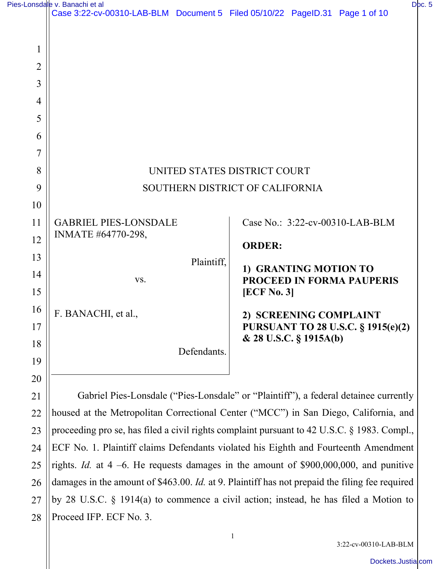| Pies-Lonsdale v. Banachi et al |        |  |
|--------------------------------|--------|--|
|                                | Doc. 5 |  |

21

22

23

27

|                | Case 3:22-cv-00310-LAB-BLM Document 5 Filed 05/10/22 PageID.31 Page 1 of 10 |                                                                     |  |  |  |
|----------------|-----------------------------------------------------------------------------|---------------------------------------------------------------------|--|--|--|
| 1              |                                                                             |                                                                     |  |  |  |
| $\overline{2}$ |                                                                             |                                                                     |  |  |  |
| 3              |                                                                             |                                                                     |  |  |  |
| $\overline{4}$ |                                                                             |                                                                     |  |  |  |
| 5              |                                                                             |                                                                     |  |  |  |
| 6              |                                                                             |                                                                     |  |  |  |
| 7              |                                                                             |                                                                     |  |  |  |
| 8              | UNITED STATES DISTRICT COURT                                                |                                                                     |  |  |  |
| 9              | SOUTHERN DISTRICT OF CALIFORNIA                                             |                                                                     |  |  |  |
| 10             |                                                                             |                                                                     |  |  |  |
| 11             | <b>GABRIEL PIES-LONSDALE</b>                                                | Case No.: 3:22-cv-00310-LAB-BLM                                     |  |  |  |
| 12             | INMATE #64770-298,                                                          | <b>ORDER:</b>                                                       |  |  |  |
| 13             | Plaintiff.                                                                  |                                                                     |  |  |  |
| 14             | VS.                                                                         | 1) GRANTING MOTION TO<br>PROCEED IN FORMA PAUPERIS                  |  |  |  |
| 15             |                                                                             | [ECF No. 3]                                                         |  |  |  |
| 16             | F. BANACHI, et al.,                                                         | 2) SCREENING COMPLAINT                                              |  |  |  |
| 17             |                                                                             | <b>PURSUANT TO 28 U.S.C. § 1915(e)(2)</b><br>& 28 U.S.C. § 1915A(b) |  |  |  |
| 18             | Defendants.                                                                 |                                                                     |  |  |  |
| 19             |                                                                             |                                                                     |  |  |  |
| 20             |                                                                             |                                                                     |  |  |  |

24 25 26 28 Gabriel Pies-Lonsdale ("Pies-Lonsdale" or "Plaintiff"), a federal detainee currently housed at the Metropolitan Correctional Center ("MCC") in San Diego, California, and proceeding pro se, has filed a civil rights complaint pursuant to 42 U.S.C. § 1983. Compl., ECF No. 1. Plaintiff claims Defendants violated his Eighth and Fourteenth Amendment rights. *Id.* at 4 –6. He requests damages in the amount of \$900,000,000, and punitive damages in the amount of \$463.00. *Id.* at 9. Plaintiff has not prepaid the filing fee required by 28 U.S.C. § 1914(a) to commence a civil action; instead, he has filed a Motion to Proceed IFP. ECF No. 3.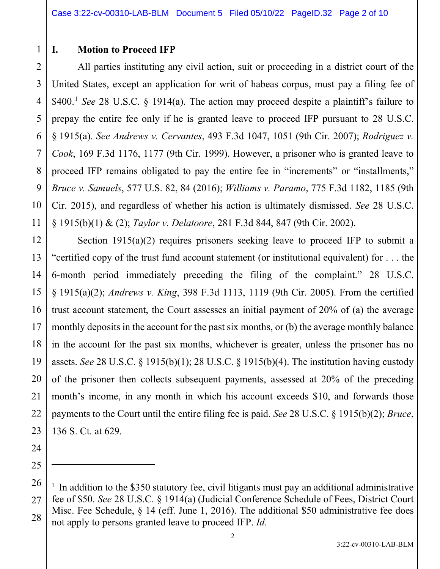### **I. Motion to Proceed IFP**

1

2

3

4

5

6

7

8

9

10

11

12

13

14

15

17

18

19

20

21

22

23

24

25

All parties instituting any civil action, suit or proceeding in a district court of the United States, except an application for writ of habeas corpus, must pay a filing fee of \$400.<sup>1</sup> *See* 28 U.S.C. § 1914(a). The action may proceed despite a plaintiff's failure to prepay the entire fee only if he is granted leave to proceed IFP pursuant to 28 U.S.C. § 1915(a). *See Andrews v. Cervantes*, 493 F.3d 1047, 1051 (9th Cir. 2007); *Rodriguez v. Cook*, 169 F.3d 1176, 1177 (9th Cir. 1999). However, a prisoner who is granted leave to proceed IFP remains obligated to pay the entire fee in "increments" or "installments," *Bruce v. Samuels*, 577 U.S. 82, 84 (2016); *Williams v. Paramo*, 775 F.3d 1182, 1185 (9th Cir. 2015), and regardless of whether his action is ultimately dismissed. *See* 28 U.S.C. § 1915(b)(1) & (2); *Taylor v. Delatoore*, 281 F.3d 844, 847 (9th Cir. 2002).

16 Section 1915(a)(2) requires prisoners seeking leave to proceed IFP to submit a "certified copy of the trust fund account statement (or institutional equivalent) for . . . the 6-month period immediately preceding the filing of the complaint." 28 U.S.C. § 1915(a)(2); *Andrews v. King*, 398 F.3d 1113, 1119 (9th Cir. 2005). From the certified trust account statement, the Court assesses an initial payment of 20% of (a) the average monthly deposits in the account for the past six months, or (b) the average monthly balance in the account for the past six months, whichever is greater, unless the prisoner has no assets. *See* 28 U.S.C. § 1915(b)(1); 28 U.S.C. § 1915(b)(4). The institution having custody of the prisoner then collects subsequent payments, assessed at 20% of the preceding month's income, in any month in which his account exceeds \$10, and forwards those payments to the Court until the entire filing fee is paid. *See* 28 U.S.C. § 1915(b)(2); *Bruce*, 136 S. Ct. at 629.

<sup>26</sup>  27 28 <sup>1</sup> In addition to the \$350 statutory fee, civil litigants must pay an additional administrative fee of \$50. *See* 28 U.S.C. § 1914(a) (Judicial Conference Schedule of Fees, District Court Misc. Fee Schedule, § 14 (eff. June 1, 2016). The additional \$50 administrative fee does not apply to persons granted leave to proceed IFP. *Id.*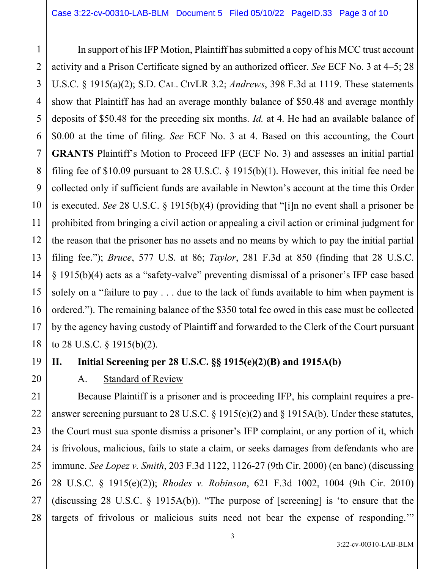16 In support of his IFP Motion, Plaintiff has submitted a copy of his MCC trust account activity and a Prison Certificate signed by an authorized officer. *See* ECF No. 3 at 4–5; 28 U.S.C. § 1915(a)(2); S.D. CAL. CIVLR 3.2; *Andrews*, 398 F.3d at 1119. These statements show that Plaintiff has had an average monthly balance of \$50.48 and average monthly deposits of \$50.48 for the preceding six months. *Id.* at 4. He had an available balance of \$0.00 at the time of filing. *See* ECF No. 3 at 4. Based on this accounting, the Court **GRANTS** Plaintiff's Motion to Proceed IFP (ECF No. 3) and assesses an initial partial filing fee of \$10.09 pursuant to 28 U.S.C. § 1915(b)(1). However, this initial fee need be collected only if sufficient funds are available in Newton's account at the time this Order is executed. *See* 28 U.S.C. § 1915(b)(4) (providing that "[i]n no event shall a prisoner be prohibited from bringing a civil action or appealing a civil action or criminal judgment for the reason that the prisoner has no assets and no means by which to pay the initial partial filing fee."); *Bruce*, 577 U.S. at 86; *Taylor*, 281 F.3d at 850 (finding that 28 U.S.C. § 1915(b)(4) acts as a "safety-valve" preventing dismissal of a prisoner's IFP case based solely on a "failure to pay . . . due to the lack of funds available to him when payment is ordered."). The remaining balance of the \$350 total fee owed in this case must be collected by the agency having custody of Plaintiff and forwarded to the Clerk of the Court pursuant to 28 U.S.C. § 1915(b)(2).

#### 19 **II. Initial Screening per 28 U.S.C. §§ 1915(e)(2)(B) and 1915A(b)**

A. Standard of Review

1

2

3

4

5

6

7

8

9

10

11

12

13

14

15

17

18

20

21 22 23 24 25 26 27 28 Because Plaintiff is a prisoner and is proceeding IFP, his complaint requires a preanswer screening pursuant to 28 U.S.C. § 1915(e)(2) and § 1915A(b). Under these statutes, the Court must sua sponte dismiss a prisoner's IFP complaint, or any portion of it, which is frivolous, malicious, fails to state a claim, or seeks damages from defendants who are immune. *See Lopez v. Smith*, 203 F.3d 1122, 1126-27 (9th Cir. 2000) (en banc) (discussing 28 U.S.C. § 1915(e)(2)); *Rhodes v. Robinson*, 621 F.3d 1002, 1004 (9th Cir. 2010) (discussing 28 U.S.C. § 1915A(b)). "The purpose of [screening] is 'to ensure that the targets of frivolous or malicious suits need not bear the expense of responding.'"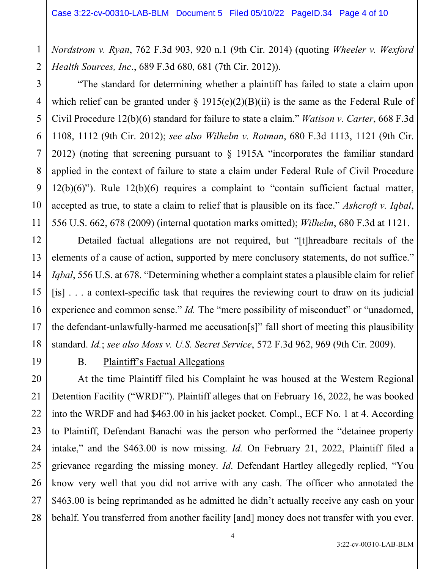*Nordstrom v. Ryan*, 762 F.3d 903, 920 n.1 (9th Cir. 2014) (quoting *Wheeler v. Wexford Health Sources, Inc*., 689 F.3d 680, 681 (7th Cir. 2012)).

"The standard for determining whether a plaintiff has failed to state a claim upon which relief can be granted under  $\S$  1915(e)(2)(B)(ii) is the same as the Federal Rule of Civil Procedure 12(b)(6) standard for failure to state a claim." *Watison v. Carter*, 668 F.3d 1108, 1112 (9th Cir. 2012); *see also Wilhelm v. Rotman*, 680 F.3d 1113, 1121 (9th Cir. 2012) (noting that screening pursuant to § 1915A "incorporates the familiar standard applied in the context of failure to state a claim under Federal Rule of Civil Procedure 12(b)(6)"). Rule 12(b)(6) requires a complaint to "contain sufficient factual matter, accepted as true, to state a claim to relief that is plausible on its face." *Ashcroft v. Iqbal*, 556 U.S. 662, 678 (2009) (internal quotation marks omitted); *Wilhelm*, 680 F.3d at 1121.

Detailed factual allegations are not required, but "[t]hreadbare recitals of the elements of a cause of action, supported by mere conclusory statements, do not suffice." *Iqbal*, 556 U.S. at 678. "Determining whether a complaint states a plausible claim for relief [is] . . . a context-specific task that requires the reviewing court to draw on its judicial experience and common sense." *Id.* The "mere possibility of misconduct" or "unadorned, the defendant-unlawfully-harmed me accusation[s]" fall short of meeting this plausibility standard. *Id.*; *see also Moss v. U.S. Secret Service*, 572 F.3d 962, 969 (9th Cir. 2009).

1

2

3

4

5

6

7

8

9

10

11

12

13

14

15

16

17

18

19

20

21

22

23

25

27

#### B. Plaintiff's Factual Allegations

24 26 28 At the time Plaintiff filed his Complaint he was housed at the Western Regional Detention Facility ("WRDF"). Plaintiff alleges that on February 16, 2022, he was booked into the WRDF and had \$463.00 in his jacket pocket. Compl., ECF No. 1 at 4. According to Plaintiff, Defendant Banachi was the person who performed the "detainee property intake," and the \$463.00 is now missing. *Id.* On February 21, 2022, Plaintiff filed a grievance regarding the missing money. *Id*. Defendant Hartley allegedly replied, "You know very well that you did not arrive with any cash. The officer who annotated the \$463.00 is being reprimanded as he admitted he didn't actually receive any cash on your behalf. You transferred from another facility [and] money does not transfer with you ever.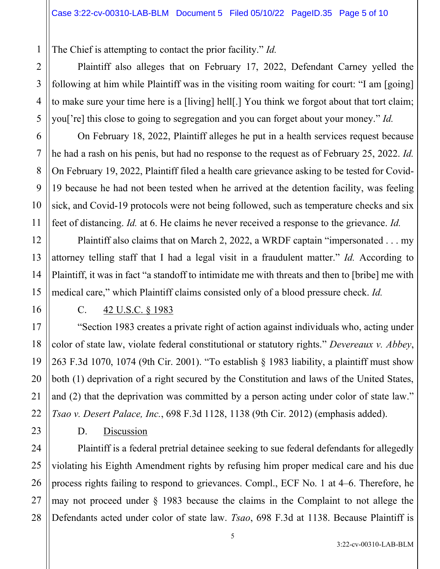The Chief is attempting to contact the prior facility." *Id.*

Plaintiff also alleges that on February 17, 2022, Defendant Carney yelled the following at him while Plaintiff was in the visiting room waiting for court: "I am [going] to make sure your time here is a [living] hell[.] You think we forgot about that tort claim; you['re] this close to going to segregation and you can forget about your money." *Id.*

On February 18, 2022, Plaintiff alleges he put in a health services request because he had a rash on his penis, but had no response to the request as of February 25, 2022. *Id.* On February 19, 2022, Plaintiff filed a health care grievance asking to be tested for Covid-19 because he had not been tested when he arrived at the detention facility, was feeling sick, and Covid-19 protocols were not being followed, such as temperature checks and six feet of distancing. *Id.* at 6. He claims he never received a response to the grievance. *Id.*

Plaintiff also claims that on March 2, 2022, a WRDF captain "impersonated . . . my attorney telling staff that I had a legal visit in a fraudulent matter." *Id.* According to Plaintiff, it was in fact "a standoff to intimidate me with threats and then to [bribe] me with medical care," which Plaintiff claims consisted only of a blood pressure check. *Id.*

# C. 42 U.S.C. § 1983

"Section 1983 creates a private right of action against individuals who, acting under color of state law, violate federal constitutional or statutory rights." *Devereaux v. Abbey*, 263 F.3d 1070, 1074 (9th Cir. 2001). "To establish § 1983 liability, a plaintiff must show both (1) deprivation of a right secured by the Constitution and laws of the United States, and (2) that the deprivation was committed by a person acting under color of state law." *Tsao v. Desert Palace, Inc.*, 698 F.3d 1128, 1138 (9th Cir. 2012) (emphasis added).

# D. Discussion

Plaintiff is a federal pretrial detainee seeking to sue federal defendants for allegedly violating his Eighth Amendment rights by refusing him proper medical care and his due process rights failing to respond to grievances. Compl., ECF No. 1 at 4–6. Therefore, he may not proceed under § 1983 because the claims in the Complaint to not allege the Defendants acted under color of state law. *Tsao*, 698 F.3d at 1138. Because Plaintiff is

1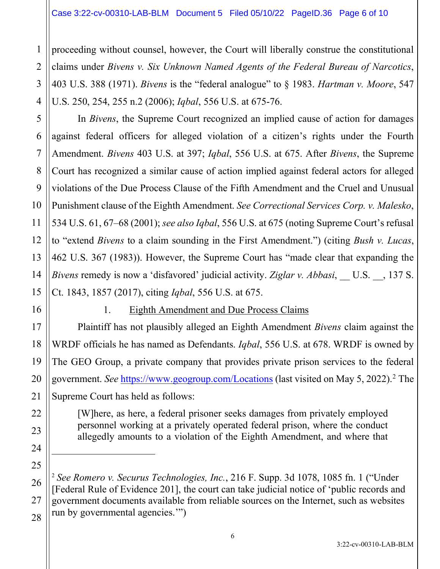2 3 4 proceeding without counsel, however, the Court will liberally construe the constitutional claims under *Bivens v. Six Unknown Named Agents of the Federal Bureau of Narcotics*, 403 U.S. 388 (1971). *Bivens* is the "federal analogue" to § 1983. *Hartman v. Moore*, 547 U.S. 250, 254, 255 n.2 (2006); *Iqbal*, 556 U.S. at 675-76.

5 6 7 8 9 10 12 13 14 15 In *Bivens*, the Supreme Court recognized an implied cause of action for damages against federal officers for alleged violation of a citizen's rights under the Fourth Amendment. *Bivens* 403 U.S. at 397; *Iqbal*, 556 U.S. at 675. After *Bivens*, the Supreme Court has recognized a similar cause of action implied against federal actors for alleged violations of the Due Process Clause of the Fifth Amendment and the Cruel and Unusual Punishment clause of the Eighth Amendment. *See Correctional Services Corp. v. Malesko*, 534 U.S. 61, 67–68 (2001); *see also Iqbal*, 556 U.S. at 675 (noting Supreme Court's refusal to "extend *Bivens* to a claim sounding in the First Amendment.") (citing *Bush v. Lucas*, 462 U.S. 367 (1983)). However, the Supreme Court has "made clear that expanding the *Bivens* remedy is now a 'disfavored' judicial activity. *Ziglar v. Abbasi*, \_\_ U.S. \_\_, 137 S. Ct. 1843, 1857 (2017), citing *Iqbal*, 556 U.S. at 675.

16

17

18

19

20

21

22

23

24

25

26

27

28

11

1

# 1. Eighth Amendment and Due Process Claims

Plaintiff has not plausibly alleged an Eighth Amendment *Bivens* claim against the WRDF officials he has named as Defendants. *Iqbal*, 556 U.S. at 678. WRDF is owned by The GEO Group, a private company that provides private prison services to the federal government. *See https://www.geogroup.com/Locations* (last visited on May 5, 2022).<sup>2</sup> The Supreme Court has held as follows:

[W]here, as here, a federal prisoner seeks damages from privately employed personnel working at a privately operated federal prison, where the conduct allegedly amounts to a violation of the Eighth Amendment, and where that

<sup>2</sup> *See Romero v. Securus Technologies, Inc.*, 216 F. Supp. 3d 1078, 1085 fn. 1 ("Under [Federal Rule of Evidence 201], the court can take judicial notice of 'public records and government documents available from reliable sources on the Internet, such as websites run by governmental agencies.'")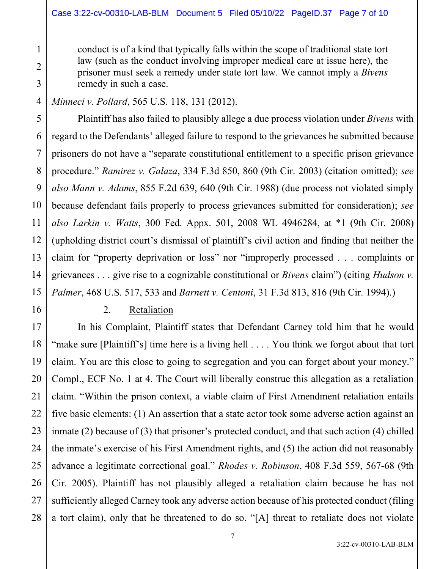conduct is of a kind that typically falls within the scope of traditional state tort law (such as the conduct involving improper medical care at issue here), the prisoner must seek a remedy under state tort law. We cannot imply a *Bivens* remedy in such a case.

*Minneci v. Pollard*, 565 U.S. 118, 131 (2012).

Plaintiff has also failed to plausibly allege a due process violation under *Bivens* with regard to the Defendants' alleged failure to respond to the grievances he submitted because prisoners do not have a "separate constitutional entitlement to a specific prison grievance procedure." *Ramirez v. Galaza*, 334 F.3d 850, 860 (9th Cir. 2003) (citation omitted); *see also Mann v. Adams*, 855 F.2d 639, 640 (9th Cir. 1988) (due process not violated simply because defendant fails properly to process grievances submitted for consideration); *see also Larkin v. Watts*, 300 Fed. Appx. 501, 2008 WL 4946284, at \*1 (9th Cir. 2008) (upholding district court's dismissal of plaintiff's civil action and finding that neither the claim for "property deprivation or loss" nor "improperly processed . . . complaints or grievances . . . give rise to a cognizable constitutional or *Bivens* claim") (citing *Hudson v. Palmer*, 468 U.S. 517, 533 and *Barnett v. Centoni*, 31 F.3d 813, 816 (9th Cir. 1994).)

#### 2. Retaliation

In his Complaint, Plaintiff states that Defendant Carney told him that he would "make sure [Plaintiff's] time here is a living hell . . . . You think we forgot about that tort claim. You are this close to going to segregation and you can forget about your money." Compl., ECF No. 1 at 4. The Court will liberally construe this allegation as a retaliation claim. "Within the prison context, a viable claim of First Amendment retaliation entails five basic elements: (1) An assertion that a state actor took some adverse action against an inmate (2) because of (3) that prisoner's protected conduct, and that such action (4) chilled the inmate's exercise of his First Amendment rights, and (5) the action did not reasonably advance a legitimate correctional goal." *Rhodes v. Robinson*, 408 F.3d 559, 567-68 (9th Cir. 2005). Plaintiff has not plausibly alleged a retaliation claim because he has not sufficiently alleged Carney took any adverse action because of his protected conduct (filing a tort claim), only that he threatened to do so. "[A] threat to retaliate does not violate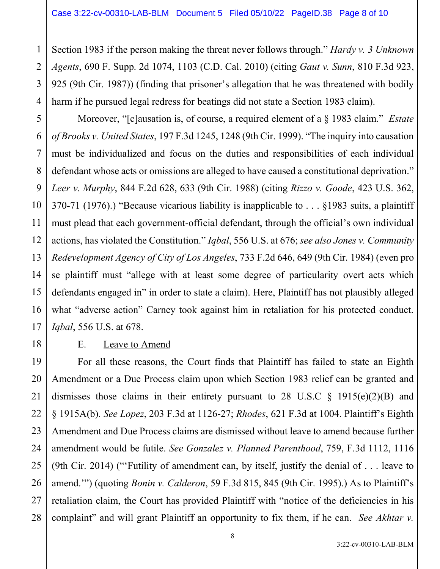Section 1983 if the person making the threat never follows through." *Hardy v. 3 Unknown Agents*, 690 F. Supp. 2d 1074, 1103 (C.D. Cal. 2010) (citing *Gaut v. Sunn*, 810 F.3d 923, 925 (9th Cir. 1987)) (finding that prisoner's allegation that he was threatened with bodily harm if he pursued legal redress for beatings did not state a Section 1983 claim).

5 6 7 8 9 10 12 13 14 15 16 17 Moreover, "[c]ausation is, of course, a required element of a § 1983 claim." *Estate of Brooks v. United States*, 197 F.3d 1245, 1248 (9th Cir. 1999). "The inquiry into causation must be individualized and focus on the duties and responsibilities of each individual defendant whose acts or omissions are alleged to have caused a constitutional deprivation." *Leer v. Murphy*, 844 F.2d 628, 633 (9th Cir. 1988) (citing *Rizzo v. Goode*, 423 U.S. 362, 370-71 (1976).) "Because vicarious liability is inapplicable to . . . §1983 suits, a plaintiff must plead that each government-official defendant, through the official's own individual actions, has violated the Constitution." *Iqbal*, 556 U.S. at 676; *see also Jones v. Community Redevelopment Agency of City of Los Angeles*, 733 F.2d 646, 649 (9th Cir. 1984) (even pro se plaintiff must "allege with at least some degree of particularity overt acts which defendants engaged in" in order to state a claim). Here, Plaintiff has not plausibly alleged what "adverse action" Carney took against him in retaliation for his protected conduct. *Iqbal*, 556 U.S. at 678.

#### E. Leave to Amend

1

2

3

4

11

18

19

20

21

22

23

24

25

26

27

28

For all these reasons, the Court finds that Plaintiff has failed to state an Eighth Amendment or a Due Process claim upon which Section 1983 relief can be granted and dismisses those claims in their entirety pursuant to 28 U.S.C  $\S$  1915(e)(2)(B) and § 1915A(b). *See Lopez*, 203 F.3d at 1126-27; *Rhodes*, 621 F.3d at 1004. Plaintiff's Eighth Amendment and Due Process claims are dismissed without leave to amend because further amendment would be futile. *See Gonzalez v. Planned Parenthood*, 759, F.3d 1112, 1116 (9th Cir. 2014) ("'Futility of amendment can, by itself, justify the denial of . . . leave to amend.'") (quoting *Bonin v. Calderon*, 59 F.3d 815, 845 (9th Cir. 1995).) As to Plaintiff's retaliation claim, the Court has provided Plaintiff with "notice of the deficiencies in his complaint" and will grant Plaintiff an opportunity to fix them, if he can. *See Akhtar v.*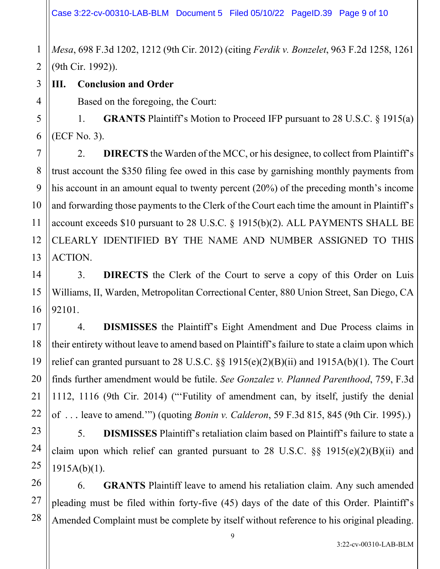*Mesa*, 698 F.3d 1202, 1212 (9th Cir. 2012) (citing *Ferdik v. Bonzelet*, 963 F.2d 1258, 1261 (9th Cir. 1992)).

**III. Conclusion and Order**

Based on the foregoing, the Court:

1. **GRANTS** Plaintiff's Motion to Proceed IFP pursuant to 28 U.S.C. § 1915(a) (ECF No. 3).

2. **DIRECTS** the Warden of the MCC, or his designee, to collect from Plaintiff's trust account the \$350 filing fee owed in this case by garnishing monthly payments from his account in an amount equal to twenty percent (20%) of the preceding month's income and forwarding those payments to the Clerk of the Court each time the amount in Plaintiff's account exceeds \$10 pursuant to 28 U.S.C. § 1915(b)(2). ALL PAYMENTS SHALL BE CLEARLY IDENTIFIED BY THE NAME AND NUMBER ASSIGNED TO THIS ACTION.

3. **DIRECTS** the Clerk of the Court to serve a copy of this Order on Luis Williams, II, Warden, Metropolitan Correctional Center, 880 Union Street, San Diego, CA 92101.

4. **DISMISSES** the Plaintiff's Eight Amendment and Due Process claims in their entirety without leave to amend based on Plaintiff's failure to state a claim upon which relief can granted pursuant to 28 U.S.C.  $\S$  1915(e)(2)(B)(ii) and 1915A(b)(1). The Court finds further amendment would be futile. *See Gonzalez v. Planned Parenthood*, 759, F.3d 1112, 1116 (9th Cir. 2014) ("'Futility of amendment can, by itself, justify the denial of . . . leave to amend.'") (quoting *Bonin v. Calderon*, 59 F.3d 815, 845 (9th Cir. 1995).)

5. **DISMISSES** Plaintiff's retaliation claim based on Plaintiff's failure to state a claim upon which relief can granted pursuant to 28 U.S.C.  $\S$ § 1915(e)(2)(B)(ii) and  $1915A(b)(1)$ .

6. **GRANTS** Plaintiff leave to amend his retaliation claim. Any such amended pleading must be filed within forty-five (45) days of the date of this Order. Plaintiff's Amended Complaint must be complete by itself without reference to his original pleading.

1

3:22-cv-00310-LAB-BLM